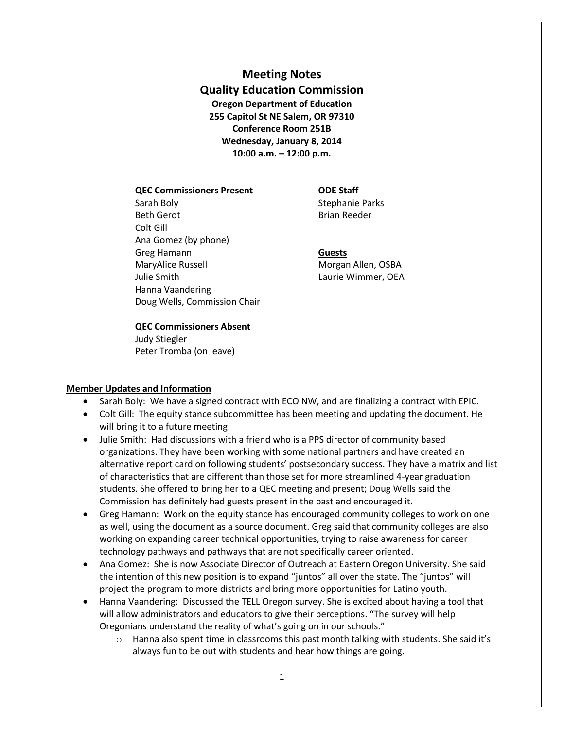# **Meeting Notes Quality Education Commission Oregon Department of Education 255 Capitol St NE Salem, OR 97310 Conference Room 251B Wednesday, January 8, 2014 10:00 a.m. – 12:00 p.m.**

# **QEC Commissioners Present ODE Staff**

Sarah Boly **Sarah Boly** Stephanie Parks Beth Gerot **Brian Reeder** Colt Gill Ana Gomez (by phone) Greg Hamann **Guests** MaryAlice Russell Morgan Allen, OSBA Julie Smith Laurie Wimmer, OEA Hanna Vaandering Doug Wells, Commission Chair

### **QEC Commissioners Absent**

Judy Stiegler Peter Tromba (on leave)

### **Member Updates and Information**

- Sarah Boly: We have a signed contract with ECO NW, and are finalizing a contract with EPIC.
- Colt Gill: The equity stance subcommittee has been meeting and updating the document. He will bring it to a future meeting.
- Julie Smith: Had discussions with a friend who is a PPS director of community based organizations. They have been working with some national partners and have created an alternative report card on following students' postsecondary success. They have a matrix and list of characteristics that are different than those set for more streamlined 4-year graduation students. She offered to bring her to a QEC meeting and present; Doug Wells said the Commission has definitely had guests present in the past and encouraged it.
- Greg Hamann: Work on the equity stance has encouraged community colleges to work on one as well, using the document as a source document. Greg said that community colleges are also working on expanding career technical opportunities, trying to raise awareness for career technology pathways and pathways that are not specifically career oriented.
- Ana Gomez: She is now Associate Director of Outreach at Eastern Oregon University. She said the intention of this new position is to expand "juntos" all over the state. The "juntos" will project the program to more districts and bring more opportunities for Latino youth.
- Hanna Vaandering: Discussed the TELL Oregon survey. She is excited about having a tool that will allow administrators and educators to give their perceptions. "The survey will help Oregonians understand the reality of what's going on in our schools."
	- $\circ$  Hanna also spent time in classrooms this past month talking with students. She said it's always fun to be out with students and hear how things are going.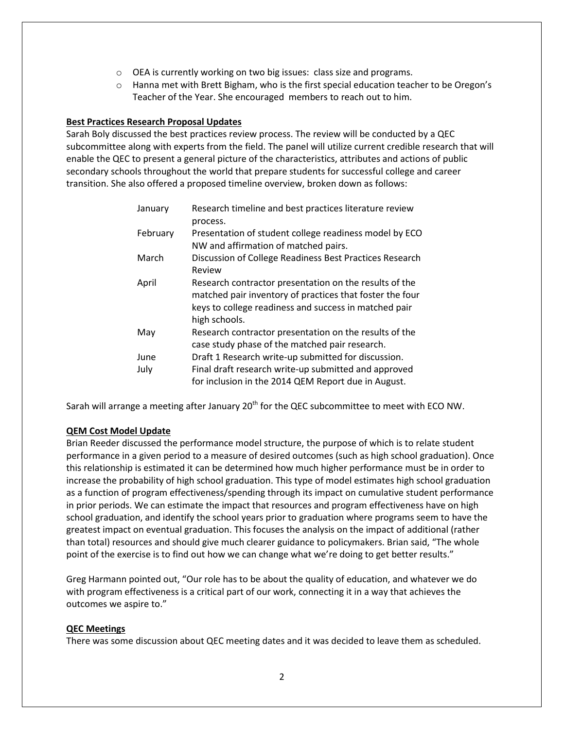- o OEA is currently working on two big issues: class size and programs.
- o Hanna met with Brett Bigham, who is the first special education teacher to be Oregon's Teacher of the Year. She encouraged members to reach out to him.

# **Best Practices Research Proposal Updates**

Sarah Boly discussed the best practices review process. The review will be conducted by a QEC subcommittee along with experts from the field. The panel will utilize current credible research that will enable the QEC to present a general picture of the characteristics, attributes and actions of public secondary schools throughout the world that prepare students for successful college and career transition. She also offered a proposed timeline overview, broken down as follows:

| January  | Research timeline and best practices literature review   |
|----------|----------------------------------------------------------|
|          | process.                                                 |
| February | Presentation of student college readiness model by ECO   |
|          | NW and affirmation of matched pairs.                     |
| March    | Discussion of College Readiness Best Practices Research  |
|          | Review                                                   |
| April    | Research contractor presentation on the results of the   |
|          | matched pair inventory of practices that foster the four |
|          | keys to college readiness and success in matched pair    |
|          | high schools.                                            |
| May      | Research contractor presentation on the results of the   |
|          | case study phase of the matched pair research.           |
| June     | Draft 1 Research write-up submitted for discussion.      |
| July     | Final draft research write-up submitted and approved     |
|          | for inclusion in the 2014 QEM Report due in August.      |

Sarah will arrange a meeting after January 20<sup>th</sup> for the QEC subcommittee to meet with ECO NW.

# **QEM Cost Model Update**

Brian Reeder discussed the performance model structure, the purpose of which is to relate student performance in a given period to a measure of desired outcomes (such as high school graduation). Once this relationship is estimated it can be determined how much higher performance must be in order to increase the probability of high school graduation. This type of model estimates high school graduation as a function of program effectiveness/spending through its impact on cumulative student performance in prior periods. We can estimate the impact that resources and program effectiveness have on high school graduation, and identify the school years prior to graduation where programs seem to have the greatest impact on eventual graduation. This focuses the analysis on the impact of additional (rather than total) resources and should give much clearer guidance to policymakers. Brian said, "The whole point of the exercise is to find out how we can change what we're doing to get better results."

Greg Harmann pointed out, "Our role has to be about the quality of education, and whatever we do with program effectiveness is a critical part of our work, connecting it in a way that achieves the outcomes we aspire to."

### **QEC Meetings**

There was some discussion about QEC meeting dates and it was decided to leave them as scheduled.